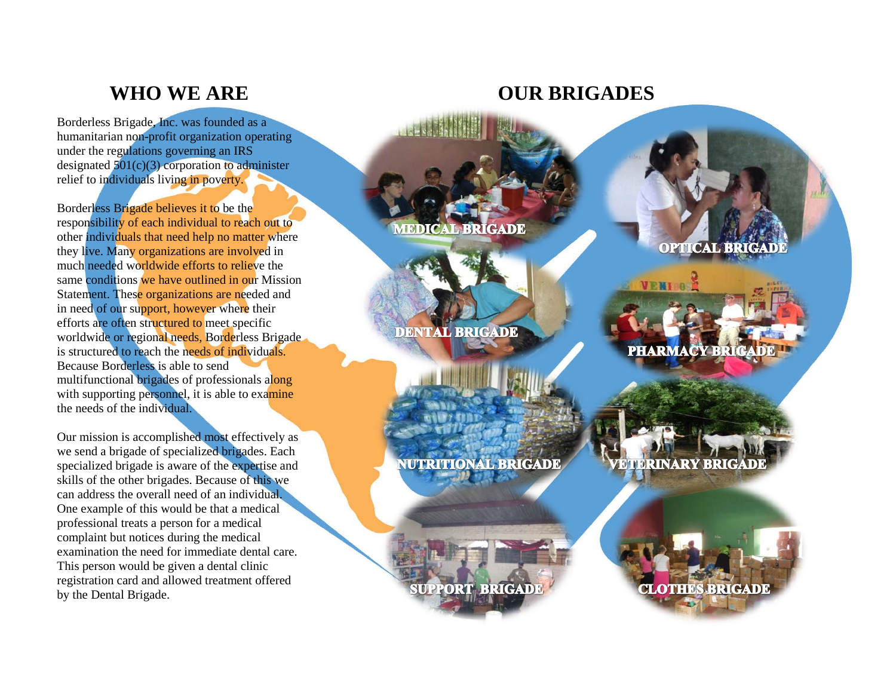### **WHO WE ARE**

Borderless Brigade, Inc. was founded as a humanitarian non -profit organization operating under the regulations governing an IRS designated  $501(c)(3)$  corporation to administer relief to individuals living in poverty.

Borderless Brigade believes it to be the responsibility of each individual to reach out to other individuals that need help no matter where they live. Many organizations are involved in much needed worldwide efforts to relieve the same conditions we have outlined in our Mission Statement. These organizations are needed and in need of our support, however where their efforts are often structured to meet specific worldwide or regional needs, Borderless Brigade is structured to reach the needs of individuals. Because Borderless is able to send multifunctional brigades of professionals along with supporting personnel, it is able to examine the needs of the individual.

Our mission is accomplished most effectively as we send a brigade of specialized brigades. Each specialized brigade is aware of the expertise and skills of the other brigades. Because of this we can address the overall need of an individual. One example of this would be that a medical professional treats a person for a medical complaint but notices during the medical examination the need for immediate dental care. This person would be given a dental clinic registration card and allowed treatment offered by the Dental Brigade.

### **OUR BRIGADES**

**MEDICAL BRIGADE** 

**DENTAL BRIGADE** 

**NUTRITIONAL BRIGADE** 

**SUPPORT BRIGADE** 

**OPTICAL BRIG** 

**PHARMACY BRIGADE** 

**VETERINARY BRIGADE**